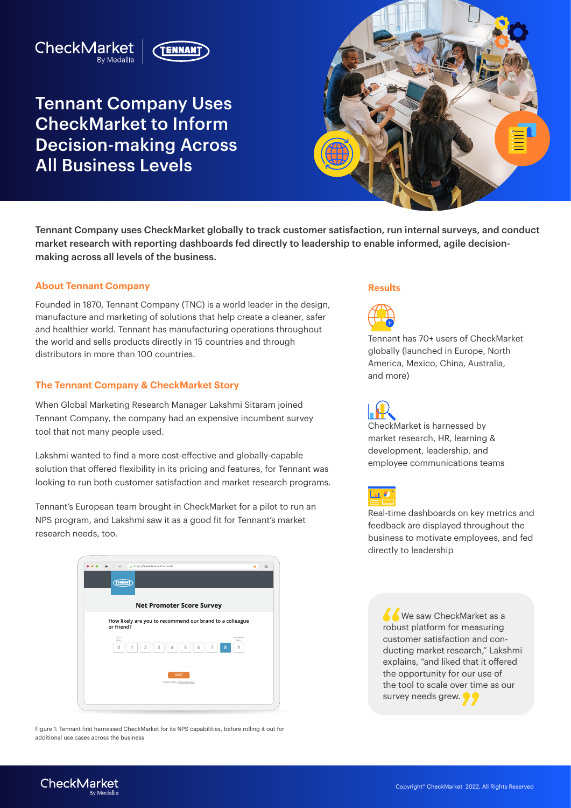# CheckMarket



Tennant Company Uses CheckMarket to Inform Decision-making Across All Business Levels



Tennant Company uses CheckMarket globally to track customer satisfaction, run internal surveys, and conduct market research with reporting dashboards fed directly to leadership to enable informed, agile decisionmaking across all levels of the business.

### **About Tennant Company**

Founded in 1870, Tennant Company (TNC) is a world leader in the design, manufacture and marketing of solutions that help create a cleaner, safer and healthier world. Tennant has manufacturing operations throughout the world and sells products directly in 15 countries and through distributors in more than 100 countries.

### **The Tennant Company & CheckMarket Story**

When Global Marketing Research Manager Lakshmi Sitaram joined Tennant Company, the company had an expensive incumbent survey tool that not many people used.

Lakshmi wanted to find a more cost-effective and globally-capable solution that offered flexibility in its pricing and features, for Tennant was looking to run both customer satisfaction and market research programs.

Tennant's European team brought in CheckMarket for a pilot to run an NPS program, and Lakshmi saw it as a good fit for Tennant's market research needs, too.



Figure 1: Tennant first harnessed CheckMarket for its NPS capabilities, before rolling it out for additional use cases across the business

#### Results



Tennant has 70+ users of CheckMarket globally (launched in Europe, North America, Mexico, China, Australia, and more)



CheckMarket is harnessed by market research, HR, learning & development, leadership, and employee communications teams



Real-time dashboards on key metrics and feedback are displayed throughout the business to motivate employees, and fed directly to leadership

We saw CheckMarket as a robust platform for measuring customer satisfaction and conducting market research," Lakshmi explains, "and liked that it offered the opportunity for our use of the tool to scale over time as our survey needs grew.  $\bullet$